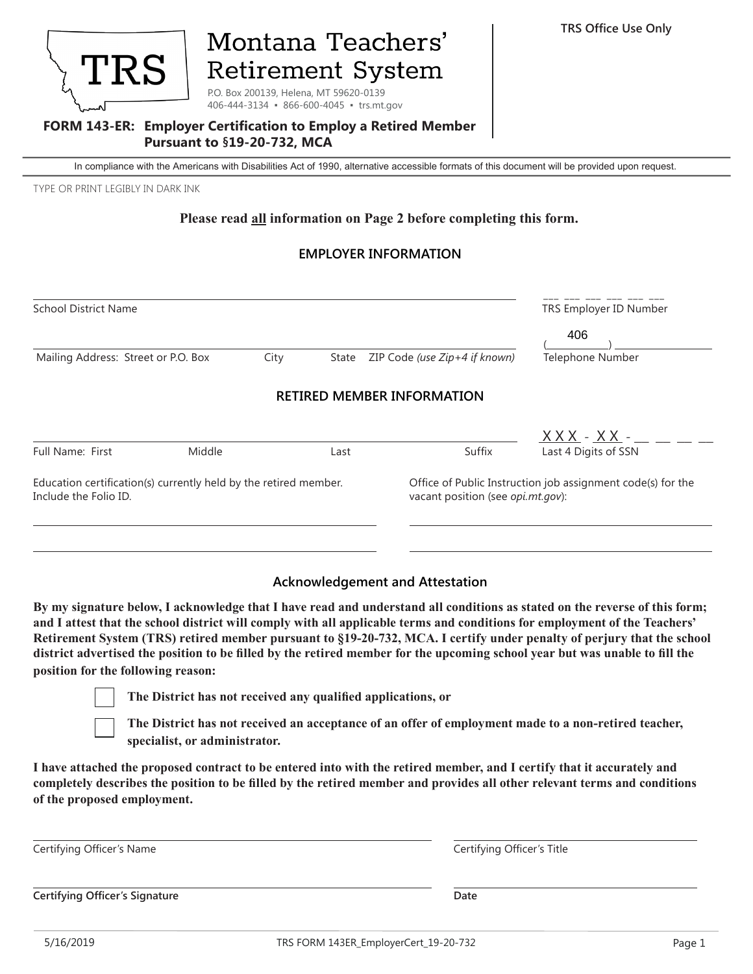

# Montana Teachers' **Retirement System**

P.O. Box 200139, Helena, MT 59620-0139 406-444-3134 • 866-600-4045 • trs.mt.gov

#### **FORM 143-ER: Employer Certification to Employ a Retired Member Pursuant to §19-20-732, MCA**

In compliance with the Americans with Disabilities Act of 1990, alternative accessible formats of this document will be provided upon request.

TYPE OR PRINT LEGIBLY IN DARK INK

#### **Please read all information on Page 2 before completing this form.**

## **EMPLOYER INFORMATION**

| <b>School District Name</b>                                                               |        |       |                               |                                   | TRS Employer ID Number                                                                           |  |
|-------------------------------------------------------------------------------------------|--------|-------|-------------------------------|-----------------------------------|--------------------------------------------------------------------------------------------------|--|
|                                                                                           |        |       |                               |                                   | 406                                                                                              |  |
| Mailing Address: Street or P.O. Box                                                       | City   | State | ZIP Code (use Zip+4 if known) | Telephone Number                  |                                                                                                  |  |
|                                                                                           |        |       |                               | <b>RETIRED MEMBER INFORMATION</b> |                                                                                                  |  |
|                                                                                           |        |       |                               |                                   | $XXX - XX -$                                                                                     |  |
| <b>Full Name: First</b>                                                                   | Middle |       | Last                          | Suffix                            | Last 4 Digits of SSN                                                                             |  |
| Education certification(s) currently held by the retired member.<br>Include the Folio ID. |        |       |                               |                                   | Office of Public Instruction job assignment code(s) for the<br>vacant position (see opi.mt.gov): |  |

#### **Acknowledgement and Attestation**

**By my signature below, I acknowledge that I have read and understand all conditions as stated on the reverse of this form; and I attest that the school district will comply with all applicable terms and conditions for employment of the Teachers' Retirement System (TRS) retired member pursuant to §19-20-732, MCA. I certify under penalty of perjury that the school district advertised the position to be filled by the retired member for the upcoming school year but was unable to fill the position for the following reason:**



**The District has not received any qualified applications, or**

**The District has not received an acceptance of an offer of employment made to a non-retired teacher, specialist, or administrator.**

**I have attached the proposed contract to be entered into with the retired member, and I certify that it accurately and completely describes the position to be filled by the retired member and provides all other relevant terms and conditions of the proposed employment.**

| Certifying Officer's Name      | Certifying Officer's Title |  |
|--------------------------------|----------------------------|--|
|                                |                            |  |
| Certifying Officer's Signature | Date                       |  |